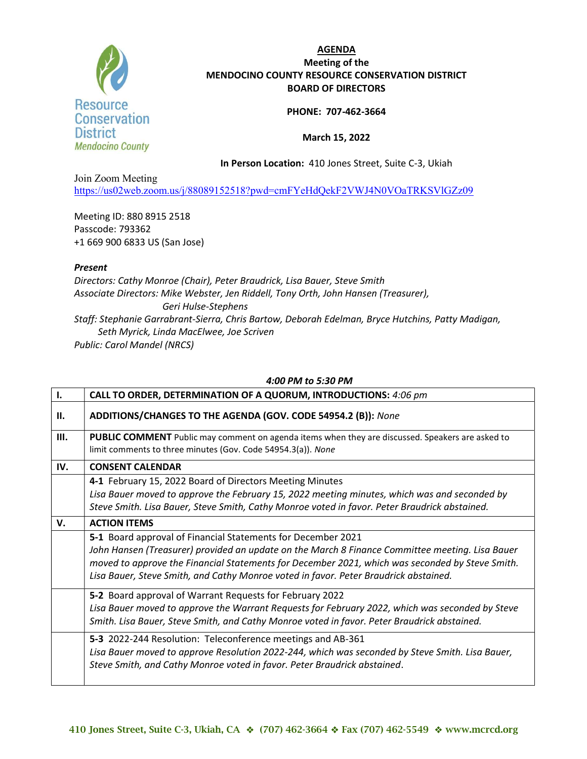

# AGENDA Meeting of the MENDOCINO COUNTY RESOURCE CONSERVATION DISTRICT BOARD OF DIRECTORS

### PHONE: 707-462-3664

### March 15, 2022

In Person Location: 410 Jones Street, Suite C-3, Ukiah

Join Zoom Meeting https://us02web.zoom.us/j/88089152518?pwd=cmFYeHdQekF2VWJ4N0VOaTRKSVlGZz09

Meeting ID: 880 8915 2518 Passcode: 793362 +1 669 900 6833 US (San Jose)

## Present

Directors: Cathy Monroe (Chair), Peter Braudrick, Lisa Bauer, Steve Smith Associate Directors: Mike Webster, Jen Riddell, Tony Orth, John Hansen (Treasurer), Geri Hulse-Stephens Staff: Stephanie Garrabrant-Sierra, Chris Bartow, Deborah Edelman, Bryce Hutchins, Patty Madigan, Seth Myrick, Linda MacElwee, Joe Scriven Public: Carol Mandel (NRCS)

#### 4:00 PM to 5:30 PM

| Ι.   | CALL TO ORDER, DETERMINATION OF A QUORUM, INTRODUCTIONS: 4:06 pm                                                                                                                                                                                                                                                                                           |
|------|------------------------------------------------------------------------------------------------------------------------------------------------------------------------------------------------------------------------------------------------------------------------------------------------------------------------------------------------------------|
| II.  | ADDITIONS/CHANGES TO THE AGENDA (GOV. CODE 54954.2 (B)): None                                                                                                                                                                                                                                                                                              |
| III. | <b>PUBLIC COMMENT</b> Public may comment on agenda items when they are discussed. Speakers are asked to<br>limit comments to three minutes (Gov. Code 54954.3(a)). None                                                                                                                                                                                    |
| IV.  | <b>CONSENT CALENDAR</b>                                                                                                                                                                                                                                                                                                                                    |
|      | 4-1 February 15, 2022 Board of Directors Meeting Minutes<br>Lisa Bauer moved to approve the February 15, 2022 meeting minutes, which was and seconded by<br>Steve Smith. Lisa Bauer, Steve Smith, Cathy Monroe voted in favor. Peter Braudrick abstained.                                                                                                  |
| V.   | <b>ACTION ITEMS</b>                                                                                                                                                                                                                                                                                                                                        |
|      | 5-1 Board approval of Financial Statements for December 2021<br>John Hansen (Treasurer) provided an update on the March 8 Finance Committee meeting. Lisa Bauer<br>moved to approve the Financial Statements for December 2021, which was seconded by Steve Smith.<br>Lisa Bauer, Steve Smith, and Cathy Monroe voted in favor. Peter Braudrick abstained. |
|      | 5-2 Board approval of Warrant Requests for February 2022<br>Lisa Bauer moved to approve the Warrant Requests for February 2022, which was seconded by Steve<br>Smith. Lisa Bauer, Steve Smith, and Cathy Monroe voted in favor. Peter Braudrick abstained.                                                                                                 |
|      | 5-3 2022-244 Resolution: Teleconference meetings and AB-361<br>Lisa Bauer moved to approve Resolution 2022-244, which was seconded by Steve Smith. Lisa Bauer,<br>Steve Smith, and Cathy Monroe voted in favor. Peter Braudrick abstained.                                                                                                                 |